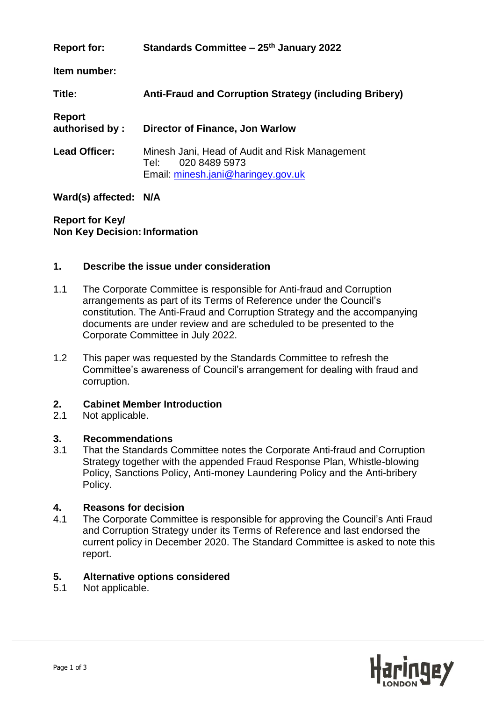| <b>Report for:</b>              | Standards Committee – 25 <sup>th</sup> January 2022                                                           |
|---------------------------------|---------------------------------------------------------------------------------------------------------------|
| Item number:                    |                                                                                                               |
| Title:                          | <b>Anti-Fraud and Corruption Strategy (including Bribery)</b>                                                 |
| <b>Report</b><br>authorised by: | Director of Finance, Jon Warlow                                                                               |
| <b>Lead Officer:</b>            | Minesh Jani, Head of Audit and Risk Management<br>020 8489 5973<br>Tel:<br>Email: minesh.jani@haringey.gov.uk |

## **Ward(s) affected: N/A**

**Report for Key/ Non Key Decision: Information** 

### **1. Describe the issue under consideration**

- 1.1 The Corporate Committee is responsible for Anti-fraud and Corruption arrangements as part of its Terms of Reference under the Council's constitution. The Anti-Fraud and Corruption Strategy and the accompanying documents are under review and are scheduled to be presented to the Corporate Committee in July 2022.
- 1.2 This paper was requested by the Standards Committee to refresh the Committee's awareness of Council's arrangement for dealing with fraud and corruption.

# **2. Cabinet Member Introduction**

Not applicable.

#### **3. Recommendations**

3.1 That the Standards Committee notes the Corporate Anti-fraud and Corruption Strategy together with the appended Fraud Response Plan, Whistle-blowing Policy, Sanctions Policy, Anti-money Laundering Policy and the Anti-bribery Policy.

#### **4. Reasons for decision**

4.1 The Corporate Committee is responsible for approving the Council's Anti Fraud and Corruption Strategy under its Terms of Reference and last endorsed the current policy in December 2020. The Standard Committee is asked to note this report.

#### **5. Alternative options considered**

5.1 Not applicable.

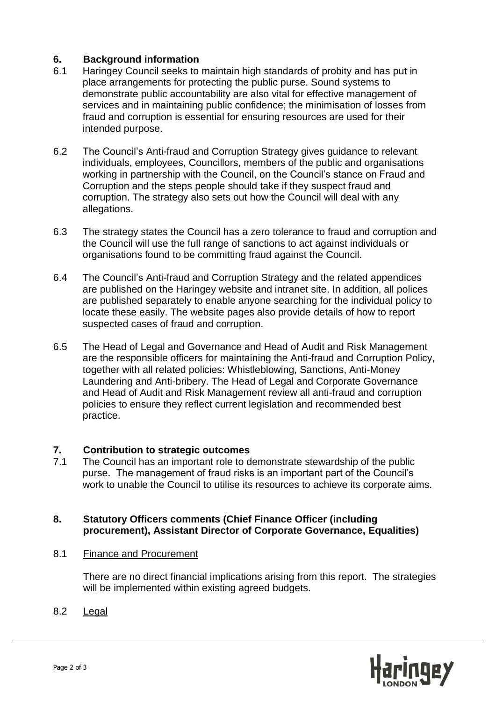## **6. Background information**

- 6.1 Haringey Council seeks to maintain high standards of probity and has put in place arrangements for protecting the public purse. Sound systems to demonstrate public accountability are also vital for effective management of services and in maintaining public confidence; the minimisation of losses from fraud and corruption is essential for ensuring resources are used for their intended purpose.
- 6.2 The Council's Anti-fraud and Corruption Strategy gives guidance to relevant individuals, employees, Councillors, members of the public and organisations working in partnership with the Council, on the Council's stance on Fraud and Corruption and the steps people should take if they suspect fraud and corruption. The strategy also sets out how the Council will deal with any allegations.
- 6.3 The strategy states the Council has a zero tolerance to fraud and corruption and the Council will use the full range of sanctions to act against individuals or organisations found to be committing fraud against the Council.
- 6.4 The Council's Anti-fraud and Corruption Strategy and the related appendices are published on the Haringey website and intranet site. In addition, all polices are published separately to enable anyone searching for the individual policy to locate these easily. The website pages also provide details of how to report suspected cases of fraud and corruption.
- 6.5 The Head of Legal and Governance and Head of Audit and Risk Management are the responsible officers for maintaining the Anti-fraud and Corruption Policy, together with all related policies: Whistleblowing, Sanctions, Anti-Money Laundering and Anti-bribery. The Head of Legal and Corporate Governance and Head of Audit and Risk Management review all anti-fraud and corruption policies to ensure they reflect current legislation and recommended best practice.

## **7. Contribution to strategic outcomes**

7.1 The Council has an important role to demonstrate stewardship of the public purse. The management of fraud risks is an important part of the Council's work to unable the Council to utilise its resources to achieve its corporate aims.

## **8. Statutory Officers comments (Chief Finance Officer (including procurement), Assistant Director of Corporate Governance, Equalities)**

8.1 Finance and Procurement

There are no direct financial implications arising from this report. The strategies will be implemented within existing agreed budgets.

8.2 Legal